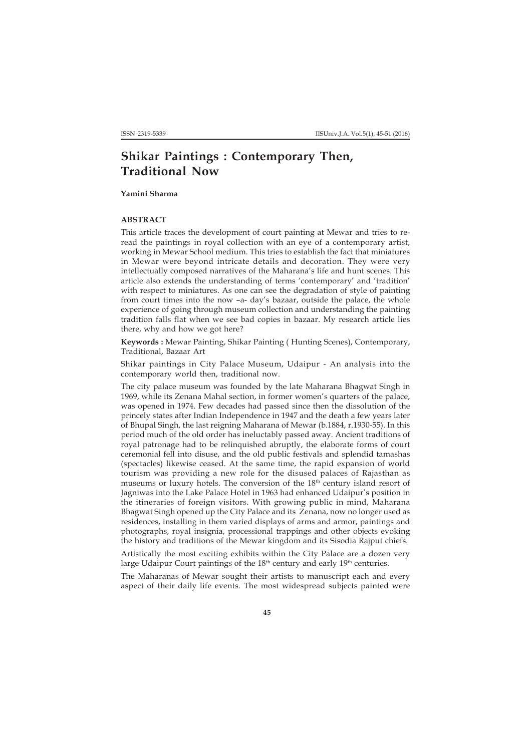## **Shikar Paintings : Contemporary Then, Traditional Now**

**Yamini Sharma**

## **ABSTRACT**

This article traces the development of court painting at Mewar and tries to reread the paintings in royal collection with an eye of a contemporary artist, working in Mewar School medium. This tries to establish the fact that miniatures in Mewar were beyond intricate details and decoration. They were very intellectually composed narratives of the Maharana's life and hunt scenes. This article also extends the understanding of terms 'contemporary' and 'tradition' with respect to miniatures. As one can see the degradation of style of painting from court times into the now –a- day's bazaar, outside the palace, the whole experience of going through museum collection and understanding the painting tradition falls flat when we see bad copies in bazaar. My research article lies there, why and how we got here?

**Keywords :** Mewar Painting, Shikar Painting ( Hunting Scenes), Contemporary, Traditional, Bazaar Art

Shikar paintings in City Palace Museum, Udaipur - An analysis into the contemporary world then, traditional now.

The city palace museum was founded by the late Maharana Bhagwat Singh in 1969, while its Zenana Mahal section, in former women's quarters of the palace, was opened in 1974. Few decades had passed since then the dissolution of the princely states after Indian Independence in 1947 and the death a few years later of Bhupal Singh, the last reigning Maharana of Mewar (b.1884, r.1930-55). In this period much of the old order has ineluctably passed away. Ancient traditions of royal patronage had to be relinquished abruptly, the elaborate forms of court ceremonial fell into disuse, and the old public festivals and splendid tamashas (spectacles) likewise ceased. At the same time, the rapid expansion of world tourism was providing a new role for the disused palaces of Rajasthan as museums or luxury hotels. The conversion of the 18<sup>th</sup> century island resort of Jagniwas into the Lake Palace Hotel in 1963 had enhanced Udaipur's position in the itineraries of foreign visitors. With growing public in mind, Maharana Bhagwat Singh opened up the City Palace and its Zenana, now no longer used as residences, installing in them varied displays of arms and armor, paintings and photographs, royal insignia, processional trappings and other objects evoking the history and traditions of the Mewar kingdom and its Sisodia Rajput chiefs.

Artistically the most exciting exhibits within the City Palace are a dozen very large Udaipur Court paintings of the 18<sup>th</sup> century and early 19<sup>th</sup> centuries.

The Maharanas of Mewar sought their artists to manuscript each and every aspect of their daily life events. The most widespread subjects painted were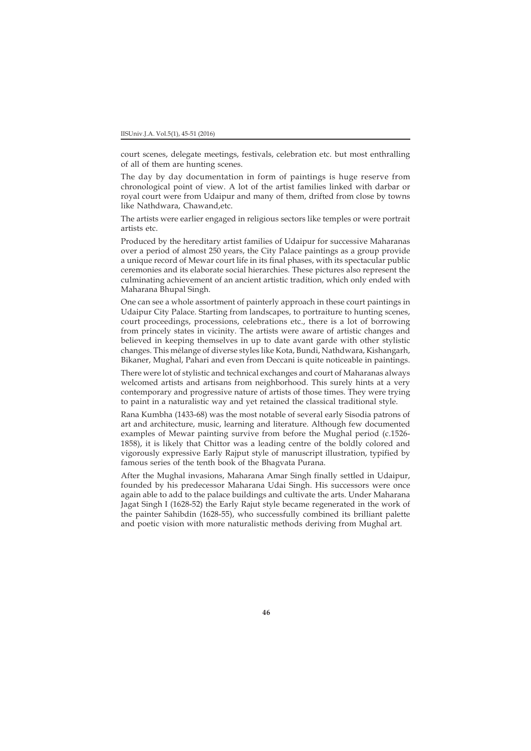court scenes, delegate meetings, festivals, celebration etc. but most enthralling of all of them are hunting scenes.

The day by day documentation in form of paintings is huge reserve from chronological point of view. A lot of the artist families linked with darbar or royal court were from Udaipur and many of them, drifted from close by towns like Nathdwara, Chawand,etc.

The artists were earlier engaged in religious sectors like temples or were portrait artists etc.

Produced by the hereditary artist families of Udaipur for successive Maharanas over a period of almost 250 years, the City Palace paintings as a group provide a unique record of Mewar court life in its final phases, with its spectacular public ceremonies and its elaborate social hierarchies. These pictures also represent the culminating achievement of an ancient artistic tradition, which only ended with Maharana Bhupal Singh.

One can see a whole assortment of painterly approach in these court paintings in Udaipur City Palace. Starting from landscapes, to portraiture to hunting scenes, court proceedings, processions, celebrations etc., there is a lot of borrowing from princely states in vicinity. The artists were aware of artistic changes and believed in keeping themselves in up to date avant garde with other stylistic changes. This mélange of diverse styles like Kota, Bundi, Nathdwara, Kishangarh, Bikaner, Mughal, Pahari and even from Deccani is quite noticeable in paintings.

There were lot of stylistic and technical exchanges and court of Maharanas always welcomed artists and artisans from neighborhood. This surely hints at a very contemporary and progressive nature of artists of those times. They were trying to paint in a naturalistic way and yet retained the classical traditional style.

Rana Kumbha (1433-68) was the most notable of several early Sisodia patrons of art and architecture, music, learning and literature. Although few documented examples of Mewar painting survive from before the Mughal period (c.1526- 1858), it is likely that Chittor was a leading centre of the boldly colored and vigorously expressive Early Rajput style of manuscript illustration, typified by famous series of the tenth book of the Bhagvata Purana.

After the Mughal invasions, Maharana Amar Singh finally settled in Udaipur, founded by his predecessor Maharana Udai Singh. His successors were once again able to add to the palace buildings and cultivate the arts. Under Maharana Jagat Singh I (1628-52) the Early Rajut style became regenerated in the work of the painter Sahibdin (1628-55), who successfully combined its brilliant palette and poetic vision with more naturalistic methods deriving from Mughal art.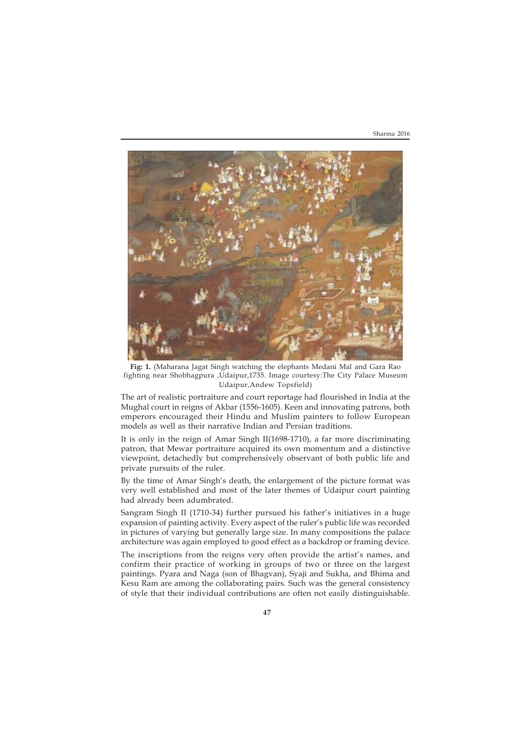

**Fig: 1.** (Maharana Jagat Singh watching the elephants Medani Mal and Gara Rao fighting near Shobhagpura ,Udaipur,1735. Image courtesy:The City Palace Museum Udaipur,Andew Topsfield)

The art of realistic portraiture and court reportage had flourished in India at the Mughal court in reigns of Akbar (1556-1605). Keen and innovating patrons, both emperors encouraged their Hindu and Muslim painters to follow European models as well as their narrative Indian and Persian traditions.

It is only in the reign of Amar Singh II(1698-1710), a far more discriminating patron, that Mewar portraiture acquired its own momentum and a distinctive viewpoint, detachedly but comprehensively observant of both public life and private pursuits of the ruler.

By the time of Amar Singh's death, the enlargement of the picture format was very well established and most of the later themes of Udaipur court painting had already been adumbrated.

Sangram Singh II (1710-34) further pursued his father's initiatives in a huge expansion of painting activity. Every aspect of the ruler's public life was recorded in pictures of varying but generally large size. In many compositions the palace architecture was again employed to good effect as a backdrop or framing device.

The inscriptions from the reigns very often provide the artist's names, and confirm their practice of working in groups of two or three on the largest paintings. Pyara and Naga (son of Bhagvan), Syaji and Sukha, and Bhima and Kesu Ram are among the collaborating pairs. Such was the general consistency of style that their individual contributions are often not easily distinguishable.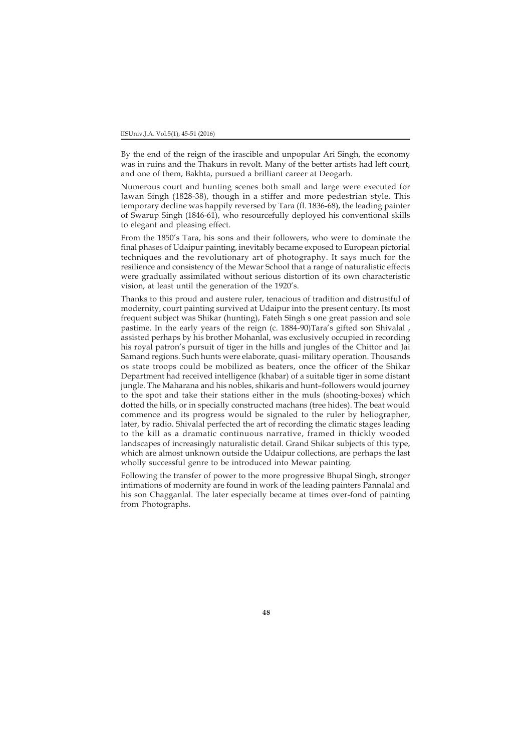By the end of the reign of the irascible and unpopular Ari Singh, the economy was in ruins and the Thakurs in revolt. Many of the better artists had left court, and one of them, Bakhta, pursued a brilliant career at Deogarh.

Numerous court and hunting scenes both small and large were executed for Jawan Singh (1828-38), though in a stiffer and more pedestrian style. This temporary decline was happily reversed by Tara (fl. 1836-68), the leading painter of Swarup Singh (1846-61), who resourcefully deployed his conventional skills to elegant and pleasing effect.

From the 1850's Tara, his sons and their followers, who were to dominate the final phases of Udaipur painting, inevitably became exposed to European pictorial techniques and the revolutionary art of photography. It says much for the resilience and consistency of the Mewar School that a range of naturalistic effects were gradually assimilated without serious distortion of its own characteristic vision, at least until the generation of the 1920's.

Thanks to this proud and austere ruler, tenacious of tradition and distrustful of modernity, court painting survived at Udaipur into the present century. Its most frequent subject was Shikar (hunting), Fateh Singh s one great passion and sole pastime. In the early years of the reign (c. 1884-90)Tara's gifted son Shivalal , assisted perhaps by his brother Mohanlal, was exclusively occupied in recording his royal patron's pursuit of tiger in the hills and jungles of the Chittor and Jai Samand regions. Such hunts were elaborate, quasi- military operation. Thousands os state troops could be mobilized as beaters, once the officer of the Shikar Department had received intelligence (khabar) of a suitable tiger in some distant jungle. The Maharana and his nobles, shikaris and hunt–followers would journey to the spot and take their stations either in the muls (shooting-boxes) which dotted the hills, or in specially constructed machans (tree hides). The beat would commence and its progress would be signaled to the ruler by heliographer, later, by radio. Shivalal perfected the art of recording the climatic stages leading to the kill as a dramatic continuous narrative, framed in thickly wooded landscapes of increasingly naturalistic detail. Grand Shikar subjects of this type, which are almost unknown outside the Udaipur collections, are perhaps the last wholly successful genre to be introduced into Mewar painting.

Following the transfer of power to the more progressive Bhupal Singh, stronger intimations of modernity are found in work of the leading painters Pannalal and his son Chagganlal. The later especially became at times over-fond of painting from Photographs.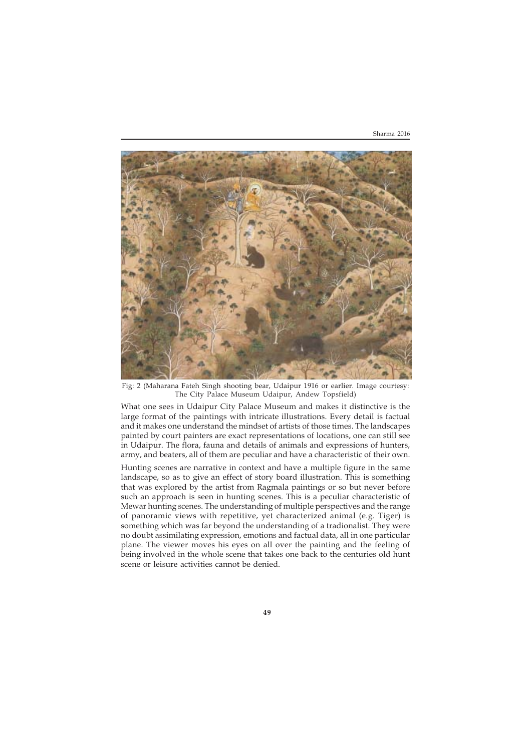

Fig: 2 (Maharana Fateh Singh shooting bear, Udaipur 1916 or earlier. Image courtesy: The City Palace Museum Udaipur, Andew Topsfield)

What one sees in Udaipur City Palace Museum and makes it distinctive is the large format of the paintings with intricate illustrations. Every detail is factual and it makes one understand the mindset of artists of those times. The landscapes painted by court painters are exact representations of locations, one can still see in Udaipur. The flora, fauna and details of animals and expressions of hunters, army, and beaters, all of them are peculiar and have a characteristic of their own.

Hunting scenes are narrative in context and have a multiple figure in the same landscape, so as to give an effect of story board illustration. This is something that was explored by the artist from Ragmala paintings or so but never before such an approach is seen in hunting scenes. This is a peculiar characteristic of Mewar hunting scenes. The understanding of multiple perspectives and the range of panoramic views with repetitive, yet characterized animal (e.g. Tiger) is something which was far beyond the understanding of a tradionalist. They were no doubt assimilating expression, emotions and factual data, all in one particular plane. The viewer moves his eyes on all over the painting and the feeling of being involved in the whole scene that takes one back to the centuries old hunt scene or leisure activities cannot be denied.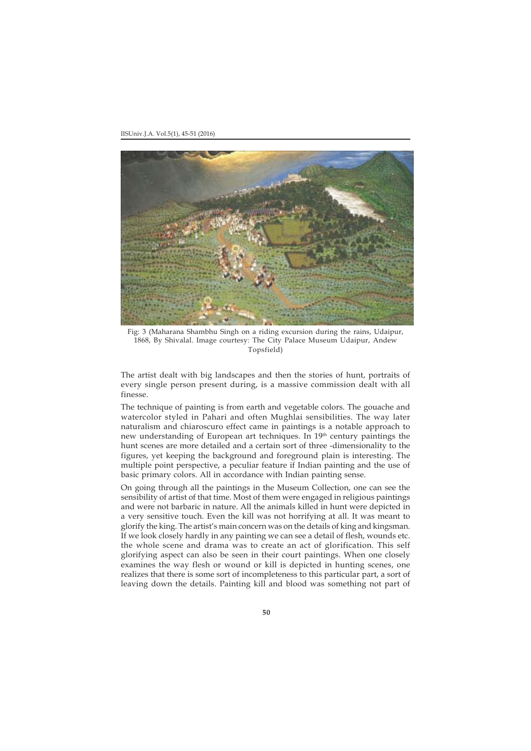IISUniv.J.A. Vol.5(1), 45-51 (2016)



Fig: 3 (Maharana Shambhu Singh on a riding excursion during the rains, Udaipur, 1868, By Shivalal. Image courtesy: The City Palace Museum Udaipur, Andew Topsfield)

The artist dealt with big landscapes and then the stories of hunt, portraits of every single person present during, is a massive commission dealt with all finesse.

The technique of painting is from earth and vegetable colors. The gouache and watercolor styled in Pahari and often Mughlai sensibilities. The way later naturalism and chiaroscuro effect came in paintings is a notable approach to new understanding of European art techniques. In  $19<sup>th</sup>$  century paintings the hunt scenes are more detailed and a certain sort of three -dimensionality to the figures, yet keeping the background and foreground plain is interesting. The multiple point perspective, a peculiar feature if Indian painting and the use of basic primary colors. All in accordance with Indian painting sense.

On going through all the paintings in the Museum Collection, one can see the sensibility of artist of that time. Most of them were engaged in religious paintings and were not barbaric in nature. All the animals killed in hunt were depicted in a very sensitive touch. Even the kill was not horrifying at all. It was meant to glorify the king. The artist's main concern was on the details of king and kingsman. If we look closely hardly in any painting we can see a detail of flesh, wounds etc. the whole scene and drama was to create an act of glorification. This self glorifying aspect can also be seen in their court paintings. When one closely examines the way flesh or wound or kill is depicted in hunting scenes, one realizes that there is some sort of incompleteness to this particular part, a sort of leaving down the details. Painting kill and blood was something not part of